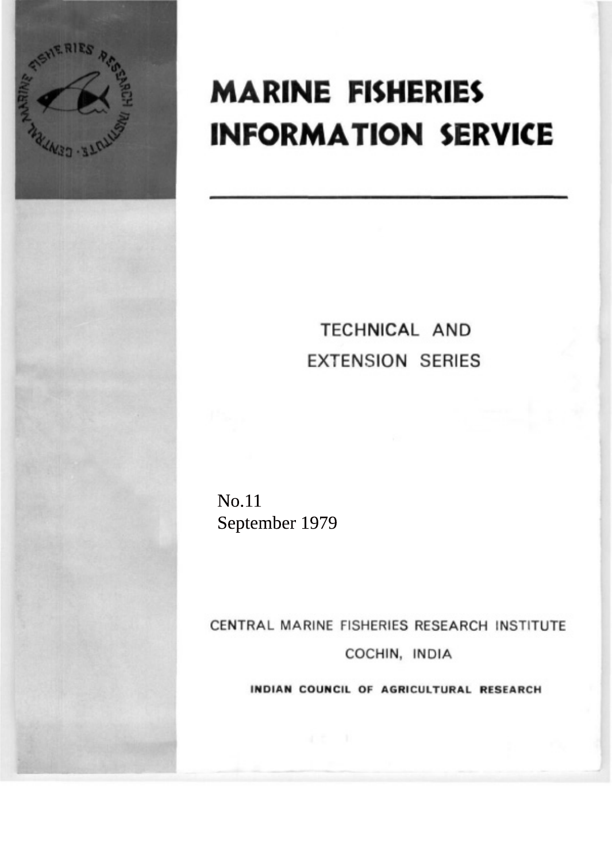

# **MARINE FISHERIES INFORMATION SERVICE**

# TECHNICAL AND **EXTENSION SERIES**

No.11 September 1979

CENTRAL MARINE FISHERIES RESEARCH INSTITUTE COCHIN, INDIA

INDIAN COUNCIL OF AGRICULTURAL RESEARCH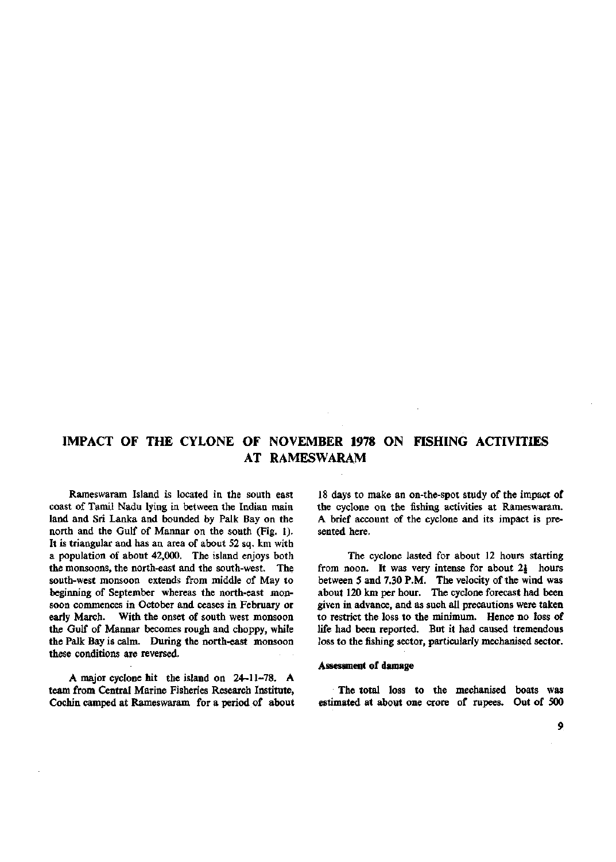## **IMPACT OF THE CYLONE OF NOVEMBER 1978 ON FISHING ACTIVITIES AT RAMESWARAM**

Rameswaram Island is located in the south east coast of Tamil Nadu lying in between the Indian main land and Sri Lanka and bounded by Palk Bay on the north and the Gulf of Mannar on the south (Fig. 1). It is triangular and has an area of about 52 sq. km with a population of about 42,000. The island enjoys both the monsoons, the north-east and the south-west. The south-west monsoon extends from middle of May to beginning of September whereas the north-east monsoon commences in October and ceases in February or early March. With the onset of south west monsoon the Gulf of Mannar becomes rough and choppy, while the Palk Bay is calm. During the north-east monsoon these conditions are reversed.

A major cyclone hit the island on 24-11-78. A team from Central Marine Fisheries Research Institute, Cochin camped at Rameswaram for a period of about

18 days to make an on-the-spot study of the impact of the cyclone on the fishing activities at Rameswaram. A brief account of the cyclone and its impact is presented here.

The cyclone lasted for about 12 hours starting from noon. It was very intense for about  $2\frac{1}{2}$  hours between 5 and 7.30 P.M. The velocity of the wind was about 120 km per hour. The cyclone forecast had been given in advance, and as such all precautions were taken to restrict the loss to the minimum. Hence no loss of life had been reported. But it had caused tremendous loss to the fishing sector, particularly mechanised sector.

#### Assessment of damage

The total loss to the mechanised boats was estimated at about one crore of rupees. Out of 500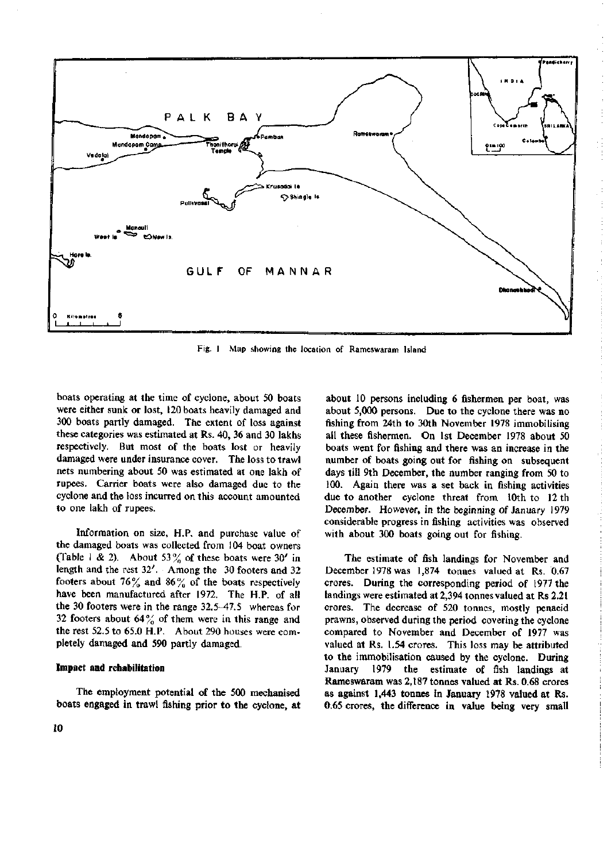

Fig. 1 Map showing the location of Rameswaram Island

boats operating at the time of cyclone, about 50 boats were either sunk or lost, 120 boats heavily damaged and 300 boats partly damaged. The extent of loss against these categories was estimated at Rs. 40, 36 and 30 lakhs respectively. But most of the boats lost or heavily damaged were under insurance cover. The loss to trawl nets numbering about 50 was estimated at one lakh of rupees. Carrier boats were also damaged due to the cyclone and the loss incurred on this account amounted to one lakh of rupees.

Information on size, H.P. and purchase value of the damaged boats was collected from 104 boat owners (Table 1 & 2). About 53% of these boats were 30' in length and the rest 32'. Among the 30 footers and 32 footers about 76% and 86% of the boats respectively have been manufactured after 1972. The H.P. of all the 30 footers were in the range 32.5-47.5 whereas for 32 footers about  $64\frac{9}{6}$  of them were in this range and the rest 52.5 to 65.0 H.P. About 290 houses were completely damaged and 590 partly damaged.

### **Impact and rehabilitation**

The employment potential of the 500 mechanised boats engaged in trawl fishing prior to the cyclone, at

about 10 persons including 6 fishermen per boat, was about 5,000 persons. Due to the cyclone there was no fishing from 24th to 30th November 1978 immobilising all these fishermen. On 1st December 1978 about 50 boats went for fishing and there was an increase in the number of boats going out for fishing on subsequent days till 9th December, the number ranging from 50 to 100. Again there was a set back in fishing activities due to another cyclone threat from 10th to 12 th December. However, in the beginning of January 1979 considerable progress in fishing activities was observed with about 300 boats going out for fishing.

The estimate of fish landings for November and December 1978 was 1,874 tonnes valued at Rs. 0.67 crores. During the corresponding period of 1977 the landings were estimated at 2,394 tonnes valued at Rs 2.21 crores. The decrease of 520 tonnes, mostly penaeid prawns, observed during the period covering the cyclone compared to November and December of 1977 was valued at Rs. 1.54 crores. This loss may be attributed to the immobilisation caused by the cyclone. During January 1979 the estimate of fish landings at Rameswaram was 2,187 tonnes valued at Rs. 0.68 crores as against 1,443 tonnes in January 1978 valued at Rs. 0.65 crores, the difference in value being very small